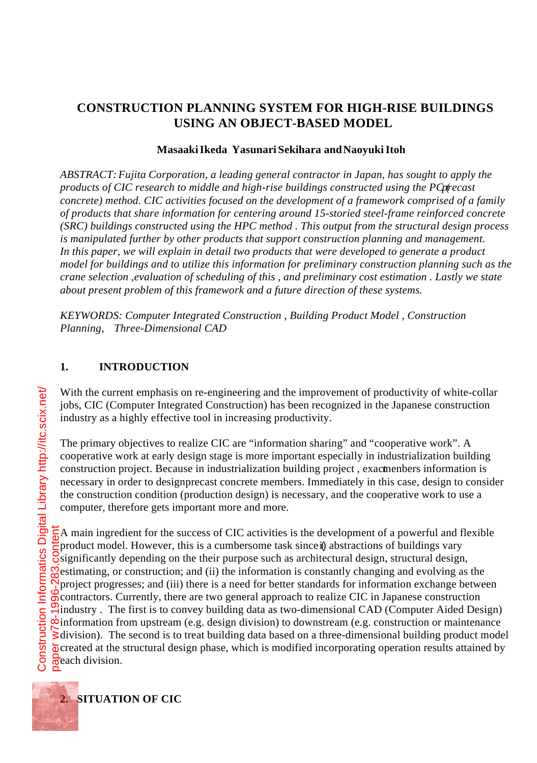# **CONSTRUCTION PLANNING SYSTEM FOR HIGH-RISE BUILDINGS USING AN OBJECT-BASED MODEL**

### **Masaaki Ikeda Yasunari Sekihara and Naoyuki Itoh**

*ABSTRACT: Fujita Corporation, a leading general contractor in Japan, has sought to apply the* products of CIC research to middle and high-rise buildings constructed using the PCprecast *concrete) method. CIC activities focused on the development of a framework comprised of a family of products that share information for centering around 15-storied steel-frame reinforced concrete (SRC) buildings constructed using the HPC method . This output from the structural design process is manipulated further by other products that support construction planning and management. In this paper, we will explain in detail two products that were developed to generate a product model for buildings and to utilize this information for preliminary construction planning such as the crane selection ,evaluation of scheduling of this , and preliminary cost estimation . Lastly we state about present problem of this framework and a future direction of these systems.*

*KEYWORDS: Computer Integrated Construction , Building Product Model , Construction Planning, Three-Dimensional CAD*

#### **1. INTRODUCTION**

With the current emphasis on re-engineering and the improvement of productivity of white-collar jobs, CIC (Computer Integrated Construction) has been recognized in the Japanese construction industry as a highly effective tool in increasing productivity.

The primary objectives to realize CIC are "information sharing" and "cooperative work". A cooperative work at early design stage is more important especially in industrialization building construction project. Because in industrialization building project, exact menbers information is necessary in order to design precast concrete members. Immediately in this case, design to consider the construction condition (production design) is necessary, and the cooperative work to use a computer, therefore gets important more and more.

 $\frac{1}{6}$ A main ingredient for the success of CIC activities is the development of a powerful and flexible product model. However, this is a cumbersome task since  $\hat{y}$  abstractions of buildings vary  $\delta$  significantly depending on the their purpose such as architectural design, structural design,  $\Omega$  estimating, or construction; and (ii) the information is constantly changing and evolving as the project progresses; and (iii) there is a need for better standards for information exchange between contractors. Currently, there are two general approach to realize CIC in Japanese construction  $\mathcal{E}_{industry}$ . The first is to convey building data as two-dimensional CAD (Computer Aided Design)  $\dot{\infty}$ information from upstream (e.g. design division) to downstream (e.g. construction or maintenance  $\geq$  division). The second is to treat building data based on a three-dimensional building product model **E** created at the structural design phase, which is modified incorporating operation results attained by each division. paper w78-1996-283.content



**2. SITUATION OF CIC**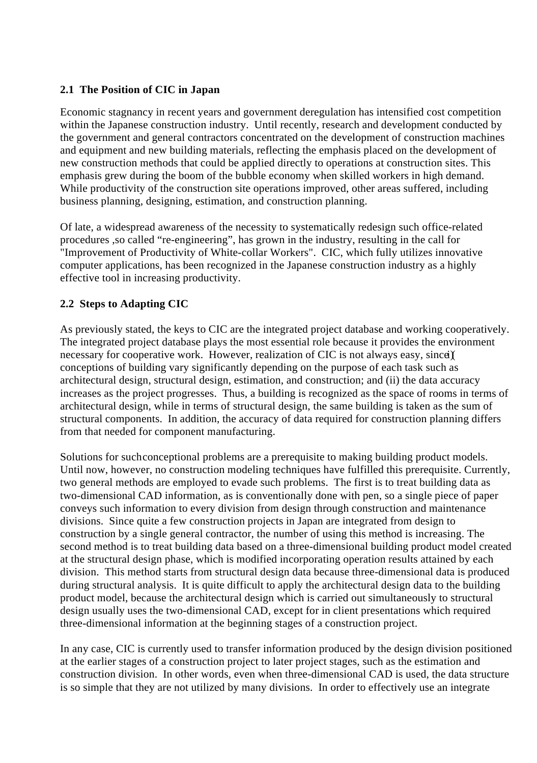### **2.1 The Position of CIC in Japan**

Economic stagnancy in recent years and government deregulation has intensified cost competition within the Japanese construction industry. Until recently, research and development conducted by the government and general contractors concentrated on the development of construction machines and equipment and new building materials, reflecting the emphasis placed on the development of new construction methods that could be applied directly to operations at construction sites. This emphasis grew during the boom of the bubble economy when skilled workers in high demand. While productivity of the construction site operations improved, other areas suffered, including business planning, designing, estimation, and construction planning.

Of late, a widespread awareness of the necessity to systematically redesign such office-related procedures ,so called "re-engineering", has grown in the industry, resulting in the call for "Improvement of Productivity of White-collar Workers". CIC, which fully utilizes innovative computer applications, has been recognized in the Japanese construction industry as a highly effective tool in increasing productivity.

# **2.2 Steps to Adapting CIC**

As previously stated, the keys to CIC are the integrated project database and working cooperatively. The integrated project database plays the most essential role because it provides the environment necessary for cooperative work. However, realization of CIC is not always easy, since  $\chi$ conceptions of building vary significantly depending on the purpose of each task such as architectural design, structural design, estimation, and construction; and (ii) the data accuracy increases as the project progresses. Thus, a building is recognized as the space of rooms in terms of architectural design, while in terms of structural design, the same building is taken as the sum of structural components. In addition, the accuracy of data required for construction planning differs from that needed for component manufacturing.

Solutions for such conceptional problems are a prerequisite to making building product models. Until now, however, no construction modeling techniques have fulfilled this prerequisite. Currently, two general methods are employed to evade such problems. The first is to treat building data as two-dimensional CAD information, as is conventionally done with pen, so a single piece of paper conveys such information to every division from design through construction and maintenance divisions. Since quite a few construction projects in Japan are integrated from design to construction by a single general contractor, the number of using this method is increasing. The second method is to treat building data based on a three-dimensional building product model created at the structural design phase, which is modified incorporating operation results attained by each division. This method starts from structural design data because three-dimensional data is produced during structural analysis. It is quite difficult to apply the architectural design data to the building product model, because the architectural design which is carried out simultaneously to structural design usually uses the two-dimensional CAD, except for in client presentations which required three-dimensional information at the beginning stages of a construction project.

In any case, CIC is currently used to transfer information produced by the design division positioned at the earlier stages of a construction project to later project stages, such as the estimation and construction division. In other words, even when three-dimensional CAD is used, the data structure is so simple that they are not utilized by many divisions. In order to effectively use an integrate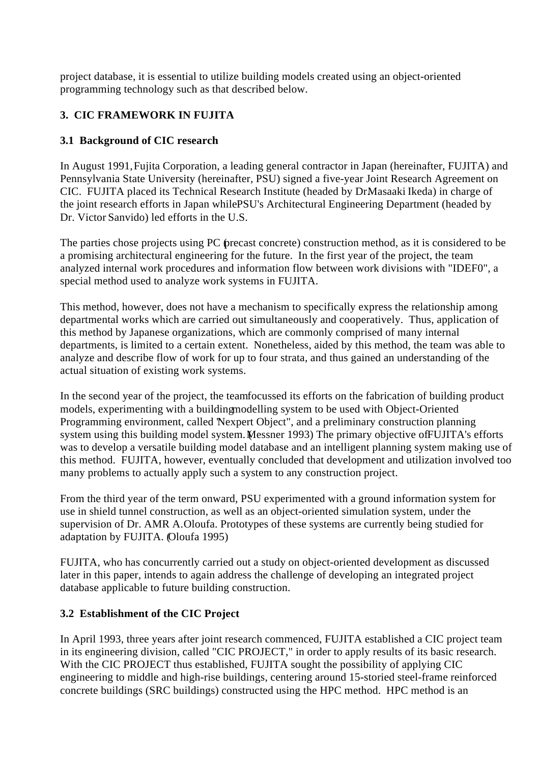project database, it is essential to utilize building models created using an object-oriented programming technology such as that described below.

# **3. CIC FRAMEWORK IN FUJITA**

## **3.1 Background of CIC research**

In August 1991, Fujita Corporation, a leading general contractor in Japan (hereinafter, FUJITA) and Pennsylvania State University (hereinafter, PSU) signed a five-year Joint Research Agreement on CIC. FUJITA placed its Technical Research Institute (headed by DrMasaaki Ikeda) in charge of the joint research efforts in Japan while PSU's Architectural Engineering Department (headed by Dr. Victor Sanvido) led efforts in the U.S.

The parties chose projects using PC (precast concrete) construction method, as it is considered to be a promising architectural engineering for the future. In the first year of the project, the team analyzed internal work procedures and information flow between work divisions with "IDEF0", a special method used to analyze work systems in FUJITA.

This method, however, does not have a mechanism to specifically express the relationship among departmental works which are carried out simultaneously and cooperatively. Thus, application of this method by Japanese organizations, which are commonly comprised of many internal departments, is limited to a certain extent. Nonetheless, aided by this method, the team was able to analyze and describe flow of work for up to four strata, and thus gained an understanding of the actual situation of existing work systems.

In the second year of the project, the team focussed its efforts on the fabrication of building product models, experimenting with a building modelling system to be used with Object-Oriented Programming environment, called 'Nexpert Object'', and a preliminary construction planning system using this building model system. Messner 1993) The primary objective of FUJITA's efforts was to develop a versatile building model database and an intelligent planning system making use of this method. FUJITA, however, eventually concluded that development and utilization involved too many problems to actually apply such a system to any construction project.

From the third year of the term onward, PSU experimented with a ground information system for use in shield tunnel construction, as well as an object-oriented simulation system, under the supervision of Dr. AMR A. Oloufa. Prototypes of these systems are currently being studied for adaptation by FUJITA. (Oloufa 1995)

FUJITA, who has concurrently carried out a study on object-oriented development as discussed later in this paper, intends to again address the challenge of developing an integrated project database applicable to future building construction.

### **3.2 Establishment of the CIC Project**

In April 1993, three years after joint research commenced, FUJITA established a CIC project team in its engineering division, called "CIC PROJECT," in order to apply results of its basic research. With the CIC PROJECT thus established, FUJITA sought the possibility of applying CIC engineering to middle and high-rise buildings, centering around 15-storied steel-frame reinforced concrete buildings (SRC buildings) constructed using the HPC method. HPC method is an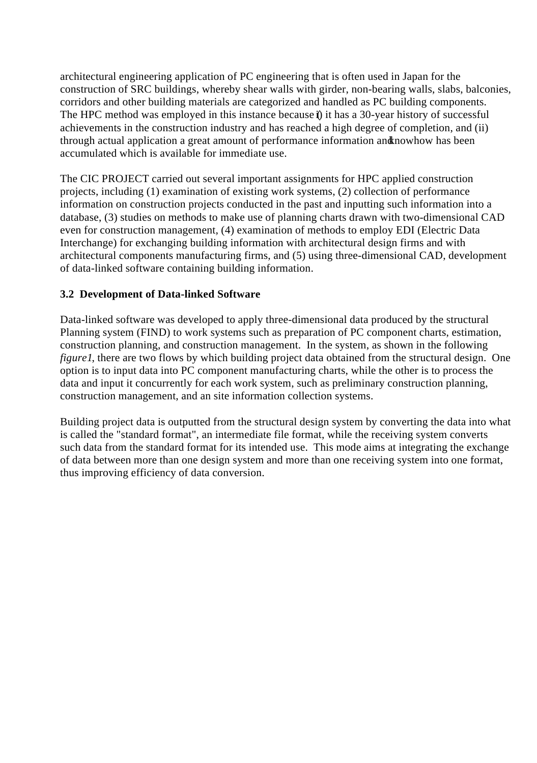architectural engineering application of PC engineering that is often used in Japan for the construction of SRC buildings, whereby shear walls with girder, non-bearing walls, slabs, balconies, corridors and other building materials are categorized and handled as PC building components. The HPC method was employed in this instance because  $\hat{i}$ ) it has a 30-year history of successful achievements in the construction industry and has reached a high degree of completion, and (ii) through actual application a great amount of performance information and nowhow has been accumulated which is available for immediate use.

The CIC PROJECT carried out several important assignments for HPC applied construction projects, including (1) examination of existing work systems, (2) collection of performance information on construction projects conducted in the past and inputting such information into a database, (3) studies on methods to make use of planning charts drawn with two-dimensional CAD even for construction management, (4) examination of methods to employ EDI (Electric Data Interchange) for exchanging building information with architectural design firms and with architectural components manufacturing firms, and (5) using three-dimensional CAD, development of data-linked software containing building information.

### **3.2 Development of Data-linked Software**

Data-linked software was developed to apply three-dimensional data produced by the structural Planning system (FIND) to work systems such as preparation of PC component charts, estimation, construction planning, and construction management. In the system, as shown in the following *figure1*, there are two flows by which building project data obtained from the structural design. One option is to input data into PC component manufacturing charts, while the other is to process the data and input it concurrently for each work system, such as preliminary construction planning, construction management, and an site information collection systems.

Building project data is outputted from the structural design system by converting the data into what is called the "standard format", an intermediate file format, while the receiving system converts such data from the standard format for its intended use. This mode aims at integrating the exchange of data between more than one design system and more than one receiving system into one format, thus improving efficiency of data conversion.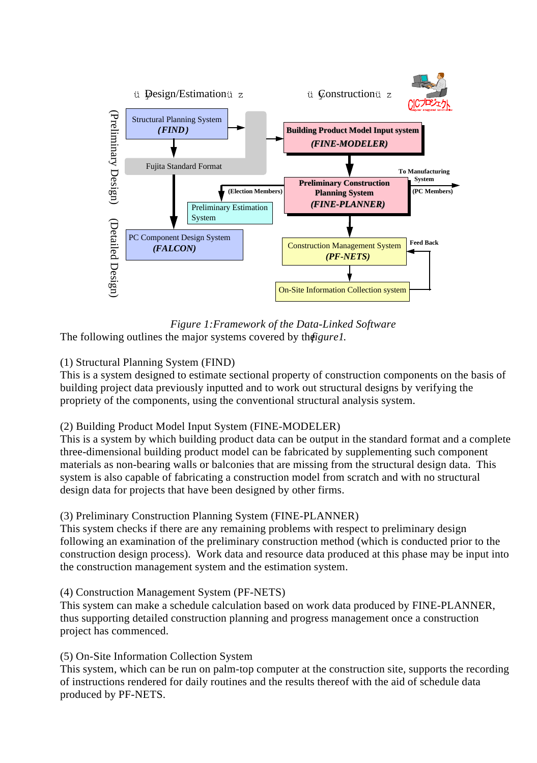

*Figure 1:Framework of the Data-Linked Software* The following outlines the major systems covered by the *figure1*.

### (1) Structural Planning System (FIND)

This is a system designed to estimate sectional property of construction components on the basis of building project data previously inputted and to work out structural designs by verifying the propriety of the components, using the conventional structural analysis system.

### (2) Building Product Model Input System (FINE-MODELER)

This is a system by which building product data can be output in the standard format and a complete three-dimensional building product model can be fabricated by supplementing such component materials as non-bearing walls or balconies that are missing from the structural design data. This system is also capable of fabricating a construction model from scratch and with no structural design data for projects that have been designed by other firms.

### (3) Preliminary Construction Planning System (FINE-PLANNER)

This system checks if there are any remaining problems with respect to preliminary design following an examination of the preliminary construction method (which is conducted prior to the construction design process). Work data and resource data produced at this phase may be input into the construction management system and the estimation system.

### (4) Construction Management System (PF-NETS)

This system can make a schedule calculation based on work data produced by FINE-PLANNER, thus supporting detailed construction planning and progress management once a construction project has commenced.

### (5) On-Site Information Collection System

This system, which can be run on palm-top computer at the construction site, supports the recording of instructions rendered for daily routines and the results thereof with the aid of schedule data produced by PF-NETS.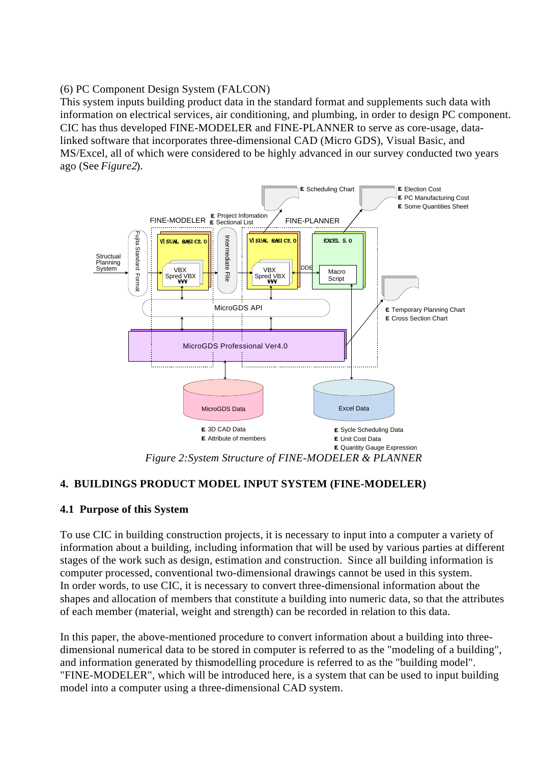(6) PC Component Design System (FALCON)

This system inputs building product data in the standard format and supplements such data with information on electrical services, air conditioning, and plumbing, in order to design PC component. CIC has thus developed FINE-MODELER and FINE-PLANNER to serve as core-usage, datalinked software that incorporates three-dimensional CAD (Micro GDS), Visual Basic, and MS/Excel, all of which were considered to be highly advanced in our survey conducted two years ago (See *Figure2*).



*Figure 2:System Structure of FINE-MODELER & PLANNER*

### **4. BUILDINGS PRODUCT MODEL INPUT SYSTEM (FINE-MODELER)**

### **4.1 Purpose of this System**

To use CIC in building construction projects, it is necessary to input into a computer a variety of information about a building, including information that will be used by various parties at different stages of the work such as design, estimation and construction. Since all building information is computer processed, conventional two-dimensional drawings cannot be used in this system. In order words, to use CIC, it is necessary to convert three-dimensional information about the shapes and allocation of members that constitute a building into numeric data, so that the attributes of each member (material, weight and strength) can be recorded in relation to this data.

In this paper, the above-mentioned procedure to convert information about a building into threedimensional numerical data to be stored in computer is referred to as the "modeling of a building", and information generated by this modelling procedure is referred to as the "building model". "FINE-MODELER", which will be introduced here, is a system that can be used to input building model into a computer using a three-dimensional CAD system.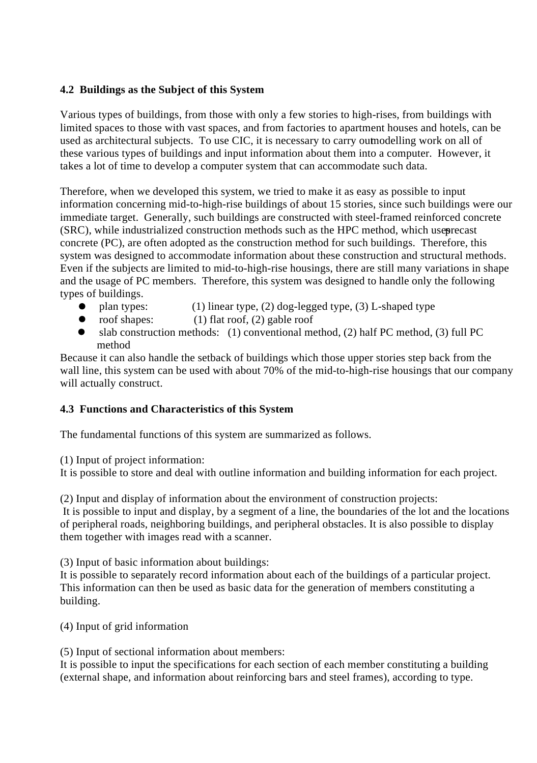### **4.2 Buildings as the Subject of this System**

Various types of buildings, from those with only a few stories to high-rises, from buildings with limited spaces to those with vast spaces, and from factories to apartment houses and hotels, can be used as architectural subjects. To use CIC, it is necessary to carry outwodelling work on all of these various types of buildings and input information about them into a computer. However, it takes a lot of time to develop a computer system that can accommodate such data.

Therefore, when we developed this system, we tried to make it as easy as possible to input information concerning mid-to-high-rise buildings of about 15 stories, since such buildings were our immediate target. Generally, such buildings are constructed with steel-framed reinforced concrete (SRC), while industrialized construction methods such as the HPC method, which user concrete (PC), are often adopted as the construction method for such buildings. Therefore, this system was designed to accommodate information about these construction and structural methods. Even if the subjects are limited to mid-to-high-rise housings, there are still many variations in shape and the usage of PC members. Therefore, this system was designed to handle only the following types of buildings.

- plan types: (1) linear type, (2) dog-legged type, (3) L-shaped type  $\bullet$
- roof shapes:  $(1)$  flat roof,  $(2)$  gable roof
- slab construction methods: (1) conventional method, (2) half PC method, (3) full PC method

Because it can also handle the setback of buildings which those upper stories step back from the wall line, this system can be used with about 70% of the mid-to-high-rise housings that our company will actually construct.

### **4.3 Functions and Characteristics of this System**

The fundamental functions of this system are summarized as follows.

(1) Input of project information:

It is possible to store and deal with outline information and building information for each project.

(2) Input and display of information about the environment of construction projects: It is possible to input and display, by a segment of a line, the boundaries of the lot and the locations of peripheral roads, neighboring buildings, and peripheral obstacles. It is also possible to display them together with images read with a scanner.

(3) Input of basic information about buildings:

It is possible to separately record information about each of the buildings of a particular project. This information can then be used as basic data for the generation of members constituting a building.

(4) Input of grid information

(5) Input of sectional information about members:

It is possible to input the specifications for each section of each member constituting a building (external shape, and information about reinforcing bars and steel frames), according to type.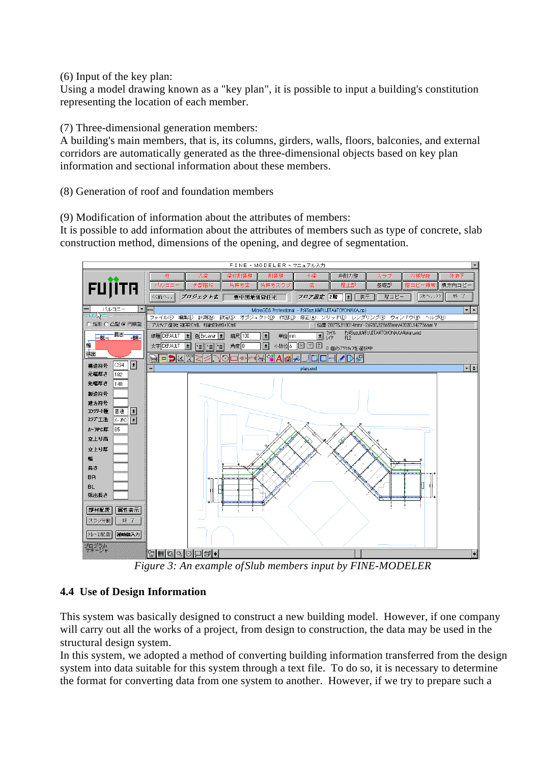(6) Input of the key plan:

Using a model drawing known as a "key plan", it is possible to input a building's constitution representing the location of each member.

(7) Three-dimensional generation members:

A building's main members, that is, its columns, girders, walls, floors, balconies, and external corridors are automatically generated as the three-dimensional objects based on key plan information and sectional information about these members.

(8) Generation of roof and foundation members

(9) Modification of information about the attributes of members:

It is possible to add information about the attributes of members such as type of concrete, slab construction method, dimensions of the opening, and degree of segmentation.



*Figure 3: An example of Slub members input by FINE-MODELER*

### **4.4 Use of Design Information**

This system was basically designed to construct a new building model. However, if one company will carry out all the works of a project, from design to construction, the data may be used in the structural design system.

In this system, we adopted a method of converting building information transferred from the design system into data suitable for this system through a text file. To do so, it is necessary to determine the format for converting data from one system to another. However, if we try to prepare such a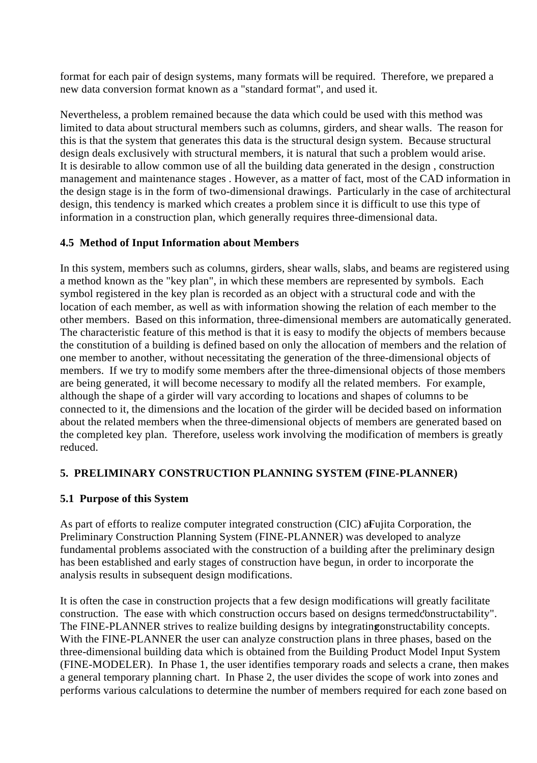format for each pair of design systems, many formats will be required. Therefore, we prepared a new data conversion format known as a "standard format", and used it.

Nevertheless, a problem remained because the data which could be used with this method was limited to data about structural members such as columns, girders, and shear walls. The reason for this is that the system that generates this data is the structural design system. Because structural design deals exclusively with structural members, it is natural that such a problem would arise. It is desirable to allow common use of all the building data generated in the design , construction management and maintenance stages . However, as a matter of fact, most of the CAD information in the design stage is in the form of two-dimensional drawings. Particularly in the case of architectural design, this tendency is marked which creates a problem since it is difficult to use this type of information in a construction plan, which generally requires three-dimensional data.

### **4.5 Method of Input Information about Members**

In this system, members such as columns, girders, shear walls, slabs, and beams are registered using a method known as the "key plan", in which these members are represented by symbols. Each symbol registered in the key plan is recorded as an object with a structural code and with the location of each member, as well as with information showing the relation of each member to the other members. Based on this information, three-dimensional members are automatically generated. The characteristic feature of this method is that it is easy to modify the objects of members because the constitution of a building is defined based on only the allocation of members and the relation of one member to another, without necessitating the generation of the three-dimensional objects of members. If we try to modify some members after the three-dimensional objects of those members are being generated, it will become necessary to modify all the related members. For example, although the shape of a girder will vary according to locations and shapes of columns to be connected to it, the dimensions and the location of the girder will be decided based on information about the related members when the three-dimensional objects of members are generated based on the completed key plan. Therefore, useless work involving the modification of members is greatly reduced.

### **5. PRELIMINARY CONSTRUCTION PLANNING SYSTEM (FINE-PLANNER)**

### **5.1 Purpose of this System**

As part of efforts to realize computer integrated construction (CIC) a Fujita Corporation, the Preliminary Construction Planning System (FINE-PLANNER) was developed to analyze fundamental problems associated with the construction of a building after the preliminary design has been established and early stages of construction have begun, in order to incorporate the analysis results in subsequent design modifications.

It is often the case in construction projects that a few design modifications will greatly facilitate construction. The ease with which construction occurs based on designs termed "constructability". The FINE-PLANNER strives to realize building designs by integrating onstructability concepts. With the FINE-PLANNER the user can analyze construction plans in three phases, based on the three-dimensional building data which is obtained from the Building Product Model Input System (FINE-MODELER). In Phase 1, the user identifies temporary roads and selects a crane, then makes a general temporary planning chart. In Phase 2, the user divides the scope of work into zones and performs various calculations to determine the number of members required for each zone based on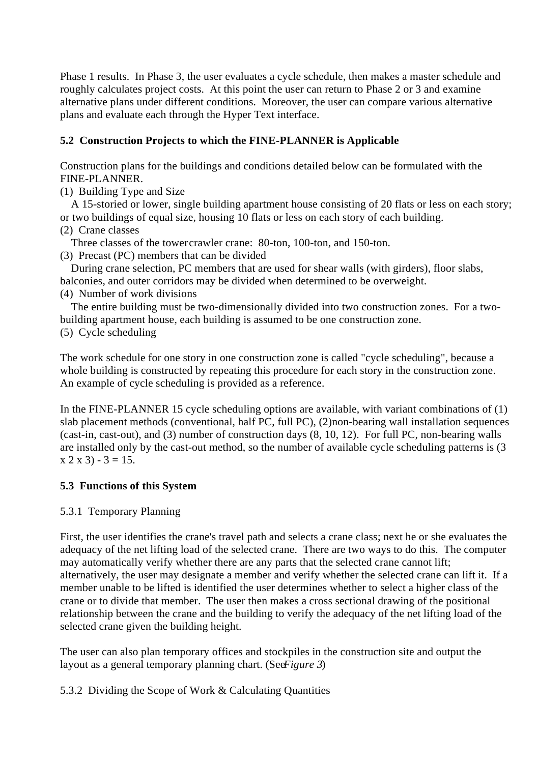Phase 1 results. In Phase 3, the user evaluates a cycle schedule, then makes a master schedule and roughly calculates project costs. At this point the user can return to Phase 2 or 3 and examine alternative plans under different conditions. Moreover, the user can compare various alternative plans and evaluate each through the Hyper Text interface.

## **5.2 Construction Projects to which the FINE-PLANNER is Applicable**

Construction plans for the buildings and conditions detailed below can be formulated with the FINE-PLANNER.

(1) Building Type and Size

 A 15-storied or lower, single building apartment house consisting of 20 flats or less on each story; or two buildings of equal size, housing 10 flats or less on each story of each building.

(2) Crane classes

Three classes of the tower crawler crane: 80-ton, 100-ton, and 150-ton.

(3) Precast (PC) members that can be divided

 During crane selection, PC members that are used for shear walls (with girders), floor slabs, balconies, and outer corridors may be divided when determined to be overweight.

(4) Number of work divisions

 The entire building must be two-dimensionally divided into two construction zones. For a twobuilding apartment house, each building is assumed to be one construction zone.

(5) Cycle scheduling

The work schedule for one story in one construction zone is called "cycle scheduling", because a whole building is constructed by repeating this procedure for each story in the construction zone. An example of cycle scheduling is provided as a reference.

In the FINE-PLANNER 15 cycle scheduling options are available, with variant combinations of (1) slab placement methods (conventional, half PC, full PC), (2)non-bearing wall installation sequences (cast-in, cast-out), and (3) number of construction days (8, 10, 12). For full PC, non-bearing walls are installed only by the cast-out method, so the number of available cycle scheduling patterns is (3  $x 2 x 3$  - 3 = 15.

# **5.3 Functions of this System**

### 5.3.1 Temporary Planning

First, the user identifies the crane's travel path and selects a crane class; next he or she evaluates the adequacy of the net lifting load of the selected crane. There are two ways to do this. The computer may automatically verify whether there are any parts that the selected crane cannot lift; alternatively, the user may designate a member and verify whether the selected crane can lift it. If a member unable to be lifted is identified the user determines whether to select a higher class of the crane or to divide that member. The user then makes a cross sectional drawing of the positional relationship between the crane and the building to verify the adequacy of the net lifting load of the selected crane given the building height.

The user can also plan temporary offices and stockpiles in the construction site and output the layout as a general temporary planning chart. (See*Figure 3*)

5.3.2 Dividing the Scope of Work & Calculating Quantities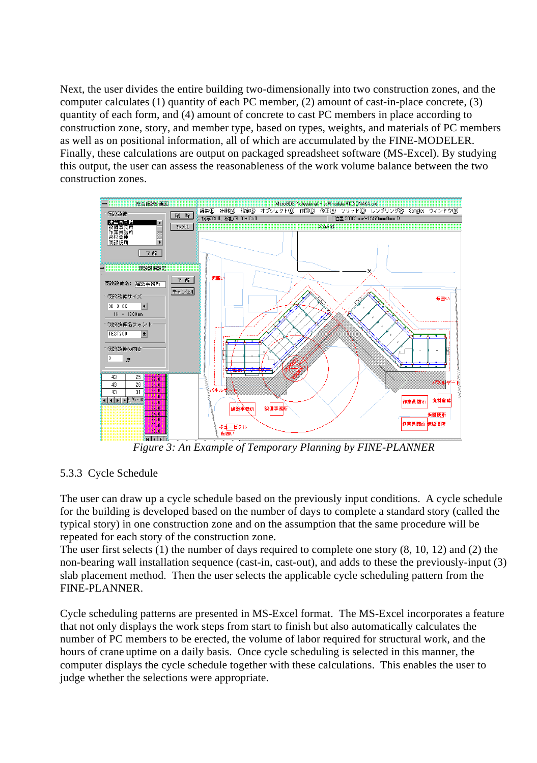Next, the user divides the entire building two-dimensionally into two construction zones, and the computer calculates (1) quantity of each PC member, (2) amount of cast-in-place concrete, (3) quantity of each form, and (4) amount of concrete to cast PC members in place according to construction zone, story, and member type, based on types, weights, and materials of PC members as well as on positional information, all of which are accumulated by the FINE-MODELER. Finally, these calculations are output on packaged spreadsheet software (MS-Excel). By studying this output, the user can assess the reasonableness of the work volume balance between the two construction zones.



*Figure 3: An Example of Temporary Planning by FINE-PLANNER*

### 5.3.3 Cycle Schedule

The user can draw up a cycle schedule based on the previously input conditions. A cycle schedule for the building is developed based on the number of days to complete a standard story (called the typical story) in one construction zone and on the assumption that the same procedure will be repeated for each story of the construction zone.

The user first selects (1) the number of days required to complete one story (8, 10, 12) and (2) the non-bearing wall installation sequence (cast-in, cast-out), and adds to these the previously-input (3) slab placement method. Then the user selects the applicable cycle scheduling pattern from the FINE-PLANNER.

Cycle scheduling patterns are presented in MS-Excel format. The MS-Excel incorporates a feature that not only displays the work steps from start to finish but also automatically calculates the number of PC members to be erected, the volume of labor required for structural work, and the hours of crane uptime on a daily basis. Once cycle scheduling is selected in this manner, the computer displays the cycle schedule together with these calculations. This enables the user to judge whether the selections were appropriate.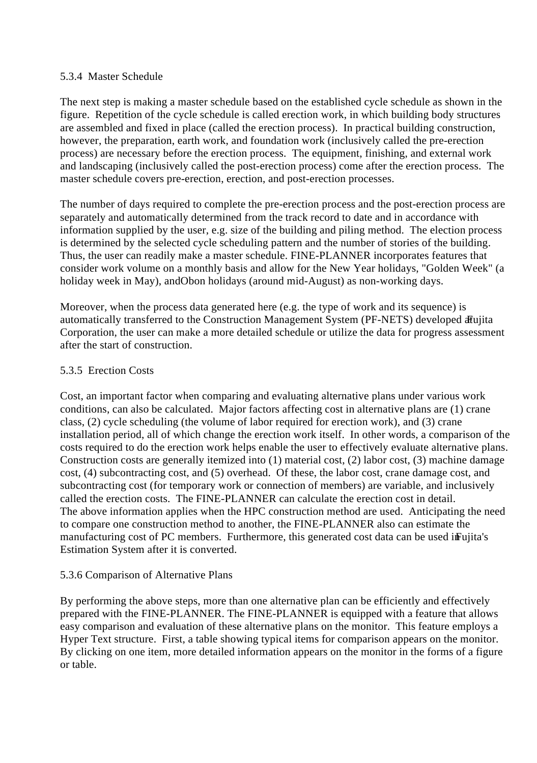### 5.3.4 Master Schedule

The next step is making a master schedule based on the established cycle schedule as shown in the figure. Repetition of the cycle schedule is called erection work, in which building body structures are assembled and fixed in place (called the erection process). In practical building construction, however, the preparation, earth work, and foundation work (inclusively called the pre-erection process) are necessary before the erection process. The equipment, finishing, and external work and landscaping (inclusively called the post-erection process) come after the erection process. The master schedule covers pre-erection, erection, and post-erection processes.

The number of days required to complete the pre-erection process and the post-erection process are separately and automatically determined from the track record to date and in accordance with information supplied by the user, e.g. size of the building and piling method. The election process is determined by the selected cycle scheduling pattern and the number of stories of the building. Thus, the user can readily make a master schedule. FINE-PLANNER incorporates features that consider work volume on a monthly basis and allow for the New Year holidays, "Golden Week" (a holiday week in May), and Obon holidays (around mid-August) as non-working days.

Moreover, when the process data generated here (e.g. the type of work and its sequence) is automatically transferred to the Construction Management System (PF-NETS) developed at Fujita Corporation, the user can make a more detailed schedule or utilize the data for progress assessment after the start of construction.

### 5.3.5 Erection Costs

Cost, an important factor when comparing and evaluating alternative plans under various work conditions, can also be calculated. Major factors affecting cost in alternative plans are (1) crane class, (2) cycle scheduling (the volume of labor required for erection work), and (3) crane installation period, all of which change the erection work itself. In other words, a comparison of the costs required to do the erection work helps enable the user to effectively evaluate alternative plans. Construction costs are generally itemized into (1) material cost, (2) labor cost, (3) machine damage cost, (4) subcontracting cost, and (5) overhead. Of these, the labor cost, crane damage cost, and subcontracting cost (for temporary work or connection of members) are variable, and inclusively called the erection costs. The FINE-PLANNER can calculate the erection cost in detail. The above information applies when the HPC construction method are used. Anticipating the need to compare one construction method to another, the FINE-PLANNER also can estimate the manufacturing cost of PC members. Furthermore, this generated cost data can be used in Fujita's Estimation System after it is converted.

### 5.3.6 Comparison of Alternative Plans

By performing the above steps, more than one alternative plan can be efficiently and effectively prepared with the FINE-PLANNER. The FINE-PLANNER is equipped with a feature that allows easy comparison and evaluation of these alternative plans on the monitor. This feature employs a Hyper Text structure. First, a table showing typical items for comparison appears on the monitor. By clicking on one item, more detailed information appears on the monitor in the forms of a figure or table.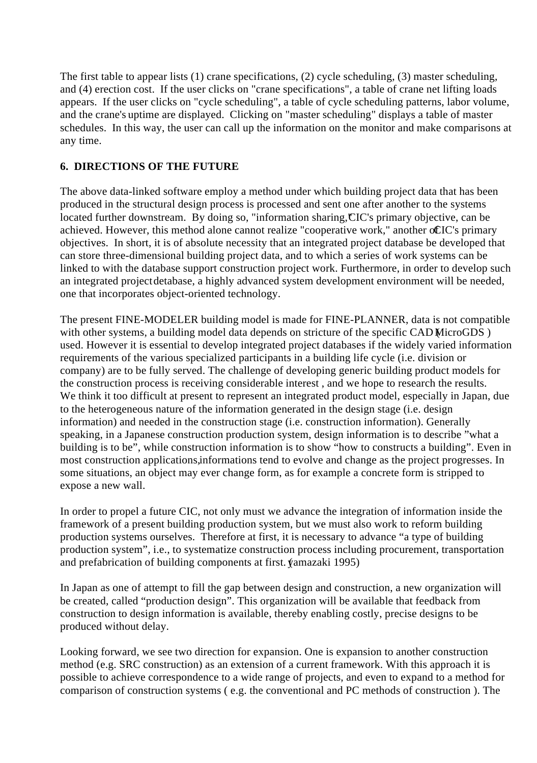The first table to appear lists (1) crane specifications, (2) cycle scheduling, (3) master scheduling, and (4) erection cost. If the user clicks on "crane specifications", a table of crane net lifting loads appears. If the user clicks on "cycle scheduling", a table of cycle scheduling patterns, labor volume, and the crane's uptime are displayed. Clicking on "master scheduling" displays a table of master schedules. In this way, the user can call up the information on the monitor and make comparisons at any time.

### **6. DIRECTIONS OF THE FUTURE**

The above data-linked software employ a method under which building project data that has been produced in the structural design process is processed and sent one after another to the systems located further downstream. By doing so, "information sharing, CIC's primary objective, can be achieved. However, this method alone cannot realize "cooperative work," another octiC's primary objectives. In short, it is of absolute necessity that an integrated project database be developed that can store three-dimensional building project data, and to which a series of work systems can be linked to with the database support construction project work. Furthermore, in order to develop such an integrated project detabase, a highly advanced system development environment will be needed, one that incorporates object-oriented technology.

The present FINE-MODELER building model is made for FINE-PLANNER, data is not compatible with other systems, a building model data depends on stricture of the specific CAD MicroGDS) used. However it is essential to develop integrated project databases if the widely varied information requirements of the various specialized participants in a building life cycle (i.e. division or company) are to be fully served. The challenge of developing generic building product models for the construction process is receiving considerable interest , and we hope to research the results. We think it too difficult at present to represent an integrated product model, especially in Japan, due to the heterogeneous nature of the information generated in the design stage (i.e. design information) and needed in the construction stage (i.e. construction information). Generally speaking, in a Japanese construction production system, design information is to describe "what a building is to be", while construction information is to show "how to constructs a building". Even in most construction applications, informations tend to evolve and change as the project progresses. In some situations, an object may ever change form, as for example a concrete form is stripped to expose a new wall.

In order to propel a future CIC, not only must we advance the integration of information inside the framework of a present building production system, but we must also work to reform building production systems ourselves. Therefore at first, it is necessary to advance "a type of building production system", i.e., to systematize construction process including procurement, transportation and prefabrication of building components at first. (amazaki 1995)

In Japan as one of attempt to fill the gap between design and construction, a new organization will be created, called "production design". This organization will be available that feedback from construction to design information is available, thereby enabling costly, precise designs to be produced without delay.

Looking forward, we see two direction for expansion. One is expansion to another construction method (e.g. SRC construction) as an extension of a current framework. With this approach it is possible to achieve correspondence to a wide range of projects, and even to expand to a method for comparison of construction systems ( e.g. the conventional and PC methods of construction ). The